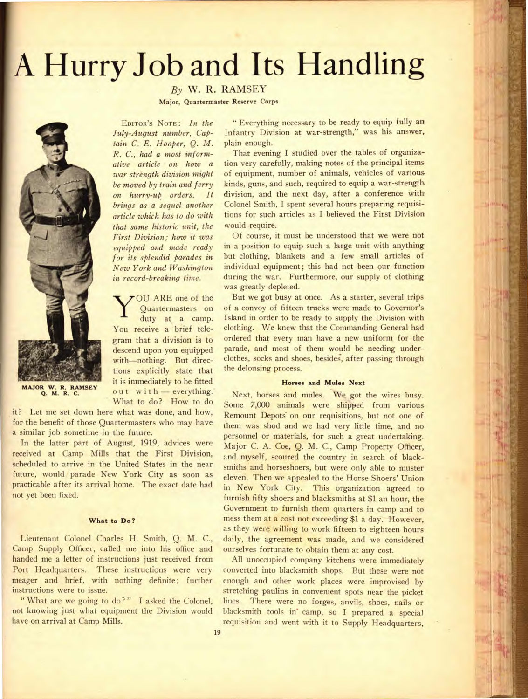# **A Hurry Job and Its Handling**

*By* W. R. RAMSEY

**Major, Quartermaster Reserve Corps** 

**MAJOR W. R. RAMSEY** 

*tam C. E. Hooper, Q. M.* plain enough. *that same historic unit, the* would require.

*y* tions explicitly state that the delousing process. it is immediately to be fitted **Horses and Mules Next** out with — everything. What to do? How to do

it? Let me set down here what was done, and how, for the benefit of those Quartermasters who may have a similar job sometime in the future.

In the latter part of August, 1919, advices were received at Camp Mills that the First Division, scheduled to arrive in the United States in the near future, would parade New York City as soon as practicable after its arrival home. The exact date had not yet been fixed.

Camp Supply Officer, called me into his office and ourselves fortunate to obtain them at any cost. handed me a letter of instructions just received from All unoccupied company kitchens were immediately

have on arrival at Camp Mills. requisition and went with it to Supply Headquarters,

EDITOR'S NOTE: *In the* "Everything necessary to be ready to equip fully an *July-August number, Cap-* Infantry Division at war-strength," was his answer,

*R. C., had a most inform-* That evening I studied over the tables of organiza*ative article on how* a tion very carefully, making notes of the principal items *war strength division might* of equipment, number of animals, vehicles of various. *bemoved by train and ferry* kinds, guns, and such, required to equip a war-strength *on* hurry-up *orders. It* division, and the next day, after a conference with *brings as a sequel another* Colonel Smith, I spent several hours preparing requisi*article which has to do with* tions for such articles as I believed the First Division

*First Division; how it was* Of course, it must be understood that we were not *equipped and made ready in* a position to equip such a large unit with anything *for its splendid parades in* but clothing, blankets and a few small articles of *New York and Washington* individual equipment; this had not been our function *in record-breaking time.* during the war. Furthermore, our supply of clothing was greatly depleted.

OU ARE one of the But we got busy at once. As a starter, several trips Quartermasters on of a convoy of fifteen trucks were made to Governor's duty at a camp. Island in order to be ready to supply the Division with You receive a brief tele- clothing. We knew that the Commanding General had gram that a division is to ordered that every man have a new uniform for the descend upon you equipped parade, and most of them would be needing underwith—nothing. But direc- clothes, socks and shoes, besides, after passing through

Next, horses and mules. We got the wires busy. Some 7,000 animals were shipped from various Remount Depots on our requisitions, but not one of them was shod and we had very little time, and no personnel or materials, for such a great undertaking. Major C. A. Coe, Q. M. C., Camp Property Officer, and myself, scoured the country in search of blacksmiths and horseshoers, but were only able to muster eleven. Then we appealed to the Horse Shoers' Union in New York City. This organization agreed to furnish fifty shoers and blacksmiths at \$1 an hour, the Government to furnish them quarters in camp and to **What to Do?** mess them at a cost not exceeding \$1 a day. However, as they were willing to work fifteen to eighteen hours Lieutenant Colonel Charles H. Smith, Q. M. C., daily, the agreement was made, and we considered

Port Headquarters. These instructions were very converted into blacksmith shops. But these were not meager and brief, with nothing definite; further enough and other work places were improvised by instructions were to issue.<br>
"What are we going to do?" I asked the Colonel, lines. There were no forges, anyils, shoes, nails or lines. There were no forges, anvils, shoes, nails or not knowing just what equipment the Division would blacksmith tools in camp, so I prepared a special